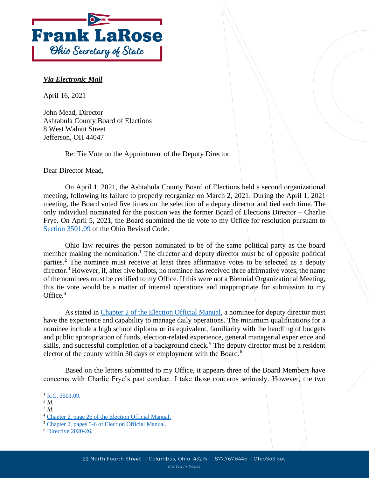

## *Via Electronic Mail*

April 16, 2021

John Mead, Director Ashtabula County Board of Elections 8 West Walnut Street Jefferson, OH 44047

Re: Tie Vote on the Appointment of the Deputy Director

Dear Director Mead,

On April 1, 2021, the Ashtabula County Board of Elections held a second organizational meeting, following its failure to properly reorganize on March 2, 2021. During the April 1, 2021 meeting, the Board voted five times on the selection of a deputy director and tied each time. The only individual nominated for the position was the former Board of Elections Director – Charlie Frye. On April 5, 2021, the Board submitted the tie vote to my Office for resolution pursuant to [Section 3501.09](https://codes.ohio.gov/orc/3501.09) of the Ohio Revised Code.

Ohio law requires the person nominated to be of the same political party as the board member making the nomination.<sup>1</sup> The director and deputy director must be of opposite political parties.<sup>2</sup> The nominee must receive at least three affirmative votes to be selected as a deputy director.<sup>3</sup> However, if, after five ballots, no nominee has received three affirmative votes, the name of the nominees must be certified to my Office. If this were not a Biennial Organizational Meeting, this tie vote would be a matter of internal operations and inappropriate for submission to my Office.<sup>4</sup>

As stated in [Chapter 2 of the Election Official Manual,](https://www.ohiosos.gov/globalassets/elections/directives/2021/dir2021-02-ch02.pdf) a nominee for deputy director must have the experience and capability to manage daily operations. The minimum qualifications for a nominee include a high school diploma or its equivalent, familiarity with the handling of budgets and public appropriation of funds, election-related experience, general managerial experience and skills, and successful completion of a background check.<sup>5</sup> The deputy director must be a resident elector of the county within 30 days of employment with the Board.<sup>6</sup>

Based on the letters submitted to my Office, it appears three of the Board Members have concerns with Charlie Frye's past conduct. I take those concerns seriously. However, the two

2 *Id.*

<sup>&</sup>lt;sup>1</sup> [R.C. 3501.09.](http://codes.ohio.gov/orc/3501.09)

<sup>3</sup> *Id.*

<sup>4</sup> [Chapter 2, page 26 of the Election Official Manual.](https://www.ohiosos.gov/globalassets/elections/directives/2021/dir2021-02-ch02.pdf)

<sup>5</sup> [Chapter 2, pages 5-6 of Election Official Manual.](https://www.ohiosos.gov/globalassets/elections/directives/2021/dir2021-02-ch02.pdf)

<sup>6</sup> [Directive 2020-26.](https://www.ohiosos.gov/globalassets/elections/directives/2020/dir2020-26.pdf)